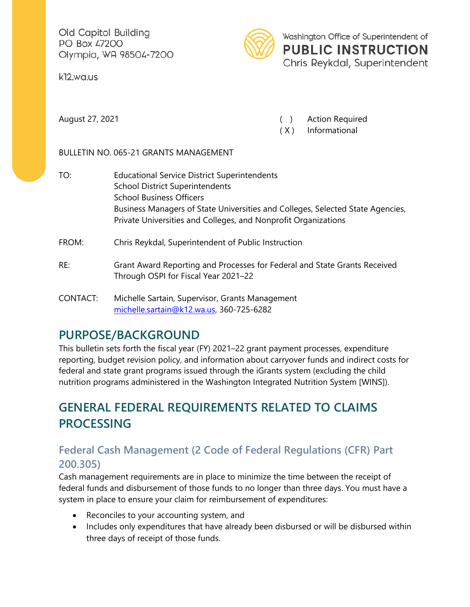Old Capitol Building PO Box 47200 Olympia, WA 98504-7200

k12.wa.us



Washington Office of Superintendent of **PUBLIC INSTRUCTION** Chris Reykdal, Superintendent

August 27, 2021 ( ) Action Required

( X ) Informational

BULLETIN NO. 065-21 GRANTS MANAGEMENT

- TO: Educational Service District Superintendents School District Superintendents School Business Officers Business Managers of State Universities and Colleges, Selected State Agencies, Private Universities and Colleges, and Nonprofit Organizations FROM: Chris Reykdal, Superintendent of Public Instruction
- RE: Grant Award Reporting and Processes for Federal and State Grants Received Through OSPI for Fiscal Year 2021–22
- CONTACT: Michelle Sartain, Supervisor, Grants Management [michelle.sartain@k12.wa.us,](mailto:michelle.sartain@k12.wa.us3) 360-725-6282

# **PURPOSE/BACKGROUND**

This bulletin sets forth the fiscal year (FY) 2021–22 grant payment processes, expenditure reporting, budget revision policy, and information about carryover funds and indirect costs for federal and state grant programs issued through the iGrants system (excluding the child nutrition programs administered in the Washington Integrated Nutrition System [WINS]).

# **GENERAL FEDERAL REQUIREMENTS RELATED TO CLAIMS PROCESSING**

### **Federal Cash Management (2 Code of Federal Regulations (CFR) Part 200.305)**

Cash management requirements are in place to minimize the time between the receipt of federal funds and disbursement of those funds to no longer than three days. You must have a system in place to ensure your claim for reimbursement of expenditures:

- Reconciles to your accounting system, and
- Includes only expenditures that have already been disbursed or will be disbursed within three days of receipt of those funds.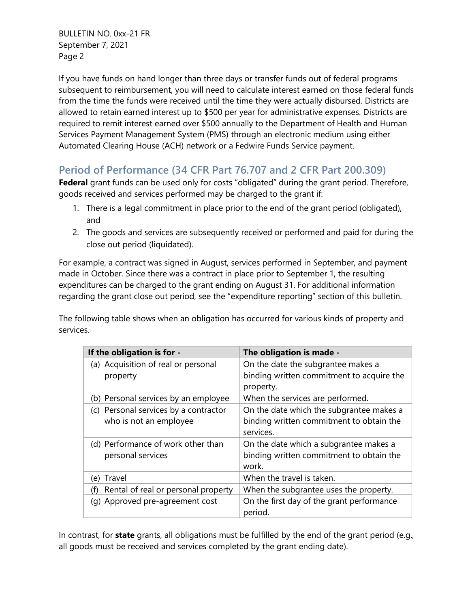If you have funds on hand longer than three days or transfer funds out of federal programs subsequent to reimbursement, you will need to calculate interest earned on those federal funds from the time the funds were received until the time they were actually disbursed. Districts are allowed to retain earned interest up to \$500 per year for administrative expenses. Districts are required to remit interest earned over \$500 annually to the Department of Health and Human Services Payment Management System (PMS) through an electronic medium using either Automated Clearing House (ACH) network or a Fedwire Funds Service payment.

### **Period of Performance (34 CFR Part 76.707 and 2 CFR Part 200.309)**

**Federal** grant funds can be used only for costs "obligated" during the grant period. Therefore, goods received and services performed may be charged to the grant if:

- 1. There is a legal commitment in place prior to the end of the grant period (obligated), and
- 2. The goods and services are subsequently received or performed and paid for during the close out period (liquidated).

For example, a contract was signed in August, services performed in September, and payment made in October. Since there was a contract in place prior to September 1, the resulting expenditures can be charged to the grant ending on August 31. For additional information regarding the grant close out period, see the "expenditure reporting" section of this bulletin.

The following table shows when an obligation has occurred for various kinds of property and services.

| If the obligation is for -                                      | The obligation is made -                                                                          |
|-----------------------------------------------------------------|---------------------------------------------------------------------------------------------------|
| (a) Acquisition of real or personal<br>property                 | On the date the subgrantee makes a<br>binding written commitment to acquire the<br>property.      |
| (b) Personal services by an employee                            | When the services are performed.                                                                  |
| (c) Personal services by a contractor<br>who is not an employee | On the date which the subgrantee makes a<br>binding written commitment to obtain the<br>services. |
| (d) Performance of work other than<br>personal services         | On the date which a subgrantee makes a<br>binding written commitment to obtain the<br>work.       |
| Travel<br>(e)                                                   | When the travel is taken.                                                                         |
| Rental of real or personal property<br>(f)                      | When the subgrantee uses the property.                                                            |
| (g) Approved pre-agreement cost                                 | On the first day of the grant performance<br>period.                                              |

In contrast, for **state** grants, all obligations must be fulfilled by the end of the grant period (e.g., all goods must be received and services completed by the grant ending date).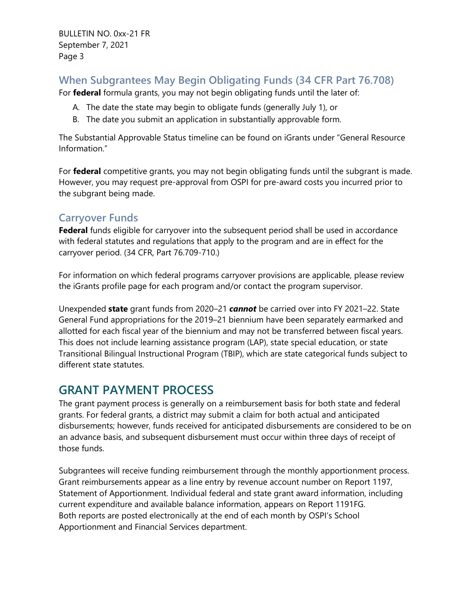#### **When Subgrantees May Begin Obligating Funds (34 CFR Part 76.708)**

For **federal** formula grants, you may not begin obligating funds until the later of:

- A. The date the state may begin to obligate funds (generally July 1), or
- B. The date you submit an application in substantially approvable form.

The Substantial Approvable Status timeline can be found on iGrants under "General Resource Information."

For **federal** competitive grants, you may not begin obligating funds until the subgrant is made. However, you may request pre-approval from OSPI for pre-award costs you incurred prior to the subgrant being made.

#### **Carryover Funds**

**Federal** funds eligible for carryover into the subsequent period shall be used in accordance with federal statutes and regulations that apply to the program and are in effect for the carryover period. (34 CFR, Part 76.709-710.)

For information on which federal programs carryover provisions are applicable, please review the iGrants profile page for each program and/or contact the program supervisor.

Unexpended **state** grant funds from 2020–21 *cannot* be carried over into FY 2021–22. State General Fund appropriations for the 2019–21 biennium have been separately earmarked and allotted for each fiscal year of the biennium and may not be transferred between fiscal years. This does not include learning assistance program (LAP), state special education, or state Transitional Bilingual Instructional Program (TBIP), which are state categorical funds subject to different state statutes.

## **GRANT PAYMENT PROCESS**

The grant payment process is generally on a reimbursement basis for both state and federal grants. For federal grants, a district may submit a claim for both actual and anticipated disbursements; however, funds received for anticipated disbursements are considered to be on an advance basis, and subsequent disbursement must occur within three days of receipt of those funds.

Subgrantees will receive funding reimbursement through the monthly apportionment process. Grant reimbursements appear as a line entry by revenue account number on Report 1197, Statement of Apportionment. Individual federal and state grant award information, including current expenditure and available balance information, appears on Report 1191FG. Both reports are posted electronically at the end of each month by OSPI's School Apportionment and Financial Services department.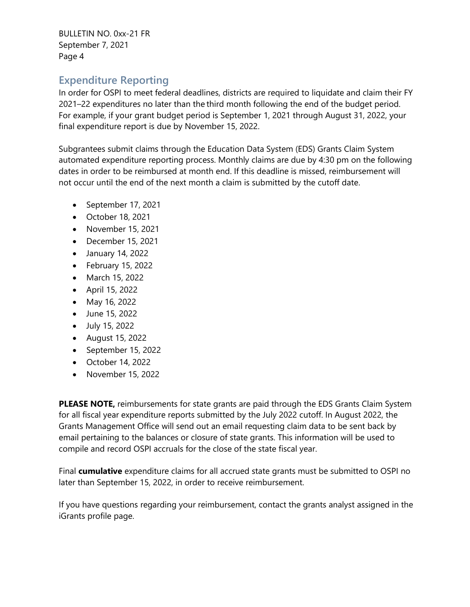#### **Expenditure Reporting**

In order for OSPI to meet federal deadlines, districts are required to liquidate and claim their FY 2021–22 expenditures no later than the third month following the end of the budget period. For example, if your grant budget period is September 1, 2021 through August 31, 2022, your final expenditure report is due by November 15, 2022.

Subgrantees submit claims through the Education Data System (EDS) Grants Claim System automated expenditure reporting process. Monthly claims are due by 4:30 pm on the following dates in order to be reimbursed at month end. If this deadline is missed, reimbursement will not occur until the end of the next month a claim is submitted by the cutoff date.

- September 17, 2021
- October 18, 2021
- November 15, 2021
- December 15, 2021
- January 14, 2022
- February 15, 2022
- March 15, 2022
- April 15, 2022
- May 16, 2022
- June 15, 2022
- July 15, 2022
- August 15, 2022
- September 15, 2022
- October 14, 2022
- November 15, 2022

**PLEASE NOTE,** reimbursements for state grants are paid through the EDS Grants Claim System for all fiscal year expenditure reports submitted by the July 2022 cutoff. In August 2022, the Grants Management Office will send out an email requesting claim data to be sent back by email pertaining to the balances or closure of state grants. This information will be used to compile and record OSPI accruals for the close of the state fiscal year.

Final **cumulative** expenditure claims for all accrued state grants must be submitted to OSPI no later than September 15, 2022, in order to receive reimbursement.

If you have questions regarding your reimbursement, contact the grants analyst assigned in the iGrants profile page.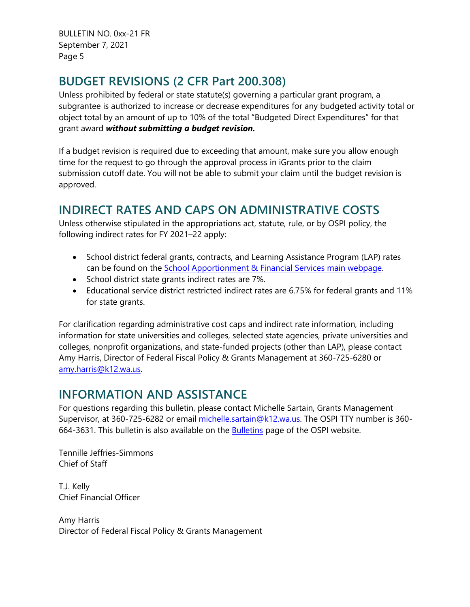# **BUDGET REVISIONS (2 CFR Part 200.308)**

Unless prohibited by federal or state statute(s) governing a particular grant program, a subgrantee is authorized to increase or decrease expenditures for any budgeted activity total or object total by an amount of up to 10% of the total "Budgeted Direct Expenditures" for that grant award *without submitting a budget revision.*

If a budget revision is required due to exceeding that amount, make sure you allow enough time for the request to go through the approval process in iGrants prior to the claim submission cutoff date. You will not be able to submit your claim until the budget revision is approved.

## **INDIRECT RATES AND CAPS ON ADMINISTRATIVE COSTS**

Unless otherwise stipulated in the appropriations act, statute, rule, or by OSPI policy, the following indirect rates for FY 2021–22 apply:

- School district federal grants, contracts, and Learning Assistance Program (LAP) rates can be found on the [School Apportionment & Financial Services main webpage.](https://www.k12.wa.us/policy-funding/school-apportionment)
- School district state grants indirect rates are 7%.
- Educational service district restricted indirect rates are 6.75% for federal grants and 11% for state grants.

For clarification regarding administrative cost caps and indirect rate information, including information for state universities and colleges, selected state agencies, private universities and colleges, nonprofit organizations, and state-funded projects (other than LAP), please contact Amy Harris, Director of Federal Fiscal Policy & Grants Management at 360-725-6280 or [amy.harris@k12.wa.us.](mailto:amy.harris@k12.wa.us)

## **INFORMATION AND ASSISTANCE**

For questions regarding this bulletin, please contact Michelle Sartain, Grants Management Supervisor, at 360-725-6282 or email [michelle.sartain@k12.wa.us.](mailto:michelle.sartain@k12.wa.us) The OSPI TTY number is 360-664-3631. This bulletin is also available on the [Bulletins](https://www.k12.wa.us/bulletinsmemos) page of the OSPI website.

Tennille Jeffries-Simmons Chief of Staff

T.J. Kelly Chief Financial Officer

Amy Harris Director of Federal Fiscal Policy & Grants Management